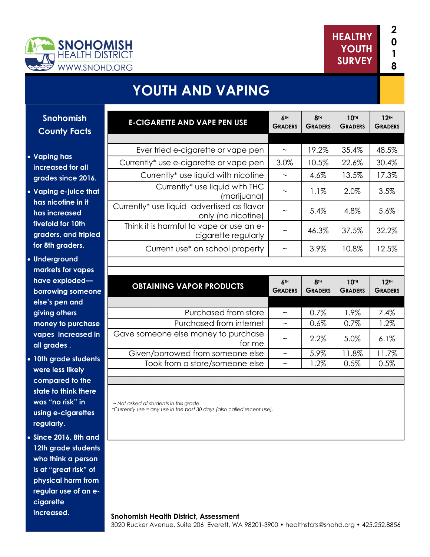



# **YOUTH AND VAPING**

**Snohomish County Facts** 

#### **Vaping has increased for all grades since 2016.**

- **Vaping e-juice that has nicotine in it has increased fivefold for 10th graders, and tripled for 8th graders.**
- **Underground markets for vapes have exploded borrowing someone else's pen and giving others money to purchase vapes increased in all grades .**
- **10th grade students were less likely compared to the state to think there was "no risk" in using e-cigarettes regularly.**
- **Since 2016, 8th and 12th grade students who think a person is at "great risk" of physical harm from regular use of an ecigarette increased.**

| <b>E-CIGARETTE AND VAPE PEN USE</b>                                          | 6TH<br><b>GRADERS</b>     | <b>8TH</b><br><b>GRADERS</b> | <b>10TH</b><br><b>GRADERS</b> | 12 <sup>TH</sup><br><b>GRADERS</b> |
|------------------------------------------------------------------------------|---------------------------|------------------------------|-------------------------------|------------------------------------|
|                                                                              |                           |                              |                               |                                    |
| Ever tried e-cigarette or vape pen                                           | $\widetilde{\phantom{m}}$ | 19.2%                        | 35.4%                         | 48.5%                              |
| Currently* use e-cigarette or vape pen                                       | 3.0%                      | 10.5%                        | 22.6%                         | 30.4%                              |
| Currently* use liquid with nicotine                                          | $\widetilde{\phantom{m}}$ | 4.6%                         | 13.5%                         | 17.3%                              |
| Currently* use liquid with THC<br>(marijuana)                                |                           | 1.1%                         | 2.0%                          | 3.5%                               |
| Currently <sup>*</sup> use liquid advertised as flavor<br>only (no nicotine) |                           | 5.4%                         | 4.8%                          | 5.6%                               |
| Think it is harmful to vape or use an e-<br>cigarette regularly              |                           | 46.3%                        | 37.5%                         | 32.2%                              |
| Current use* on school property                                              | $\tilde{\phantom{a}}$     | 3.9%                         | 10.8%                         | 12.5%                              |
|                                                                              |                           |                              |                               |                                    |
|                                                                              |                           |                              |                               |                                    |

| <b>OBTAINING VAPOR PRODUCTS</b>               | 6 <sup>TH</sup><br><b>GRADERS</b> | <b>8TH</b><br><b>GRADERS</b> | 10 <sup>TH</sup><br><b>GRADERS</b> | 12 <sub>TH</sub><br><b>GRADERS</b> |
|-----------------------------------------------|-----------------------------------|------------------------------|------------------------------------|------------------------------------|
|                                               |                                   |                              |                                    |                                    |
| Purchased from store                          | $\tilde{}$                        | 0.7%                         | 1.9%                               | 7.4%                               |
| Purchased from internet                       | $\sim$                            | 0.6%                         | 0.7%                               | 1.2%                               |
| Gave someone else money to purchase<br>for me | $\sim$                            | $2.2\%$                      | 5.0%                               | 6.1%                               |
| Given/borrowed from someone else              | $\tilde{\phantom{a}}$             | 5.9%                         | 11.8%                              | 11.7%                              |
| Took from a store/someone else                | $\tilde{}$                        | $1.2\%$                      | 0.5%                               | 0.5%                               |
|                                               |                                   |                              |                                    |                                    |

 *~ Not asked of students in this grade \*Currently use = any use in the past 30 days (also called recent use).*